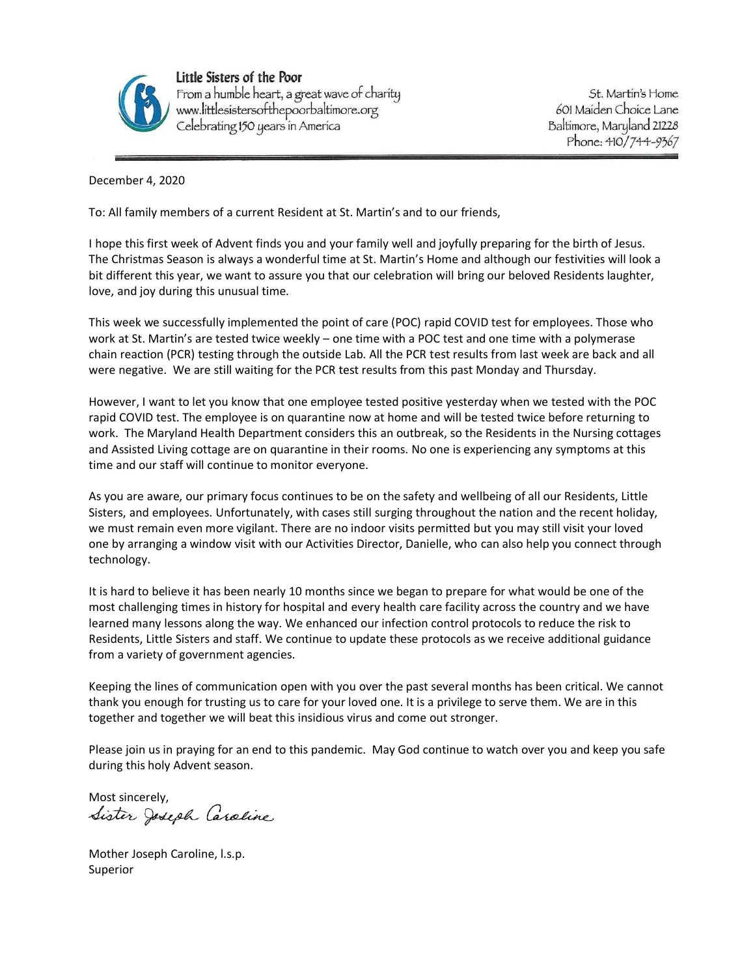

Little Sisters of the Poor From a humble heart, a great wave of charity<br>www.littlesistersofthepoorbaltimore.org<br>Celebrating 150 years in America

St. Martin's Home 601 Maiden Choice Lane Baltimore, Maryland 21228 Phone: 410/744-9367

December 4, 2020

To: All family members of a current Resident at St. Martin's and to our friends,

I hope this first week of Advent finds you and your family well and joyfully preparing for the birth of Jesus. The Christmas Season is always a wonderful time at St. Martin's Home and although our festivities will look a bit different this year, we want to assure you that our celebration will bring our beloved Residents laughter, love, and joy during this unusual time.

This week we successfully implemented the point of care (POC) rapid COVID test for employees. Those who work at St. Martin's are tested twice weekly – one time with a POC test and one time with a polymerase chain reaction (PCR) testing through the outside Lab. All the PCR test results from last week are back and all were negative. We are still waiting for the PCR test results from this past Monday and Thursday.

However, I want to let you know that one employee tested positive yesterday when we tested with the POC rapid COVID test. The employee is on quarantine now at home and will be tested twice before returning to work. The Maryland Health Department considers this an outbreak, so the Residents in the Nursing cottages and Assisted Living cottage are on quarantine in their rooms. No one is experiencing any symptoms at this time and our staff will continue to monitor everyone.

As you are aware, our primary focus continues to be on the safety and wellbeing of all our Residents, Little Sisters, and employees. Unfortunately, with cases still surging throughout the nation and the recent holiday, we must remain even more vigilant. There are no indoor visits permitted but you may still visit your loved one by arranging a window visit with our Activities Director, Danielle, who can also help you connect through technology.

It is hard to believe it has been nearly 10 months since we began to prepare for what would be one of the most challenging times in history for hospital and every health care facility across the country and we have learned many lessons along the way. We enhanced our infection control protocols to reduce the risk to Residents, Little Sisters and staff. We continue to update these protocols as we receive additional guidance from a variety of government agencies.

Keeping the lines of communication open with you over the past several months has been critical. We cannot thank you enough for trusting us to care for your loved one. It is a privilege to serve them. We are in this together and together we will beat this insidious virus and come out stronger.

Please join us in praying for an end to this pandemic. May God continue to watch over you and keep you safe during this holy Advent season.

Most sincerely,<br>Sister Joseph Caraline

Mother Joseph Caroline, l.s.p. Superior